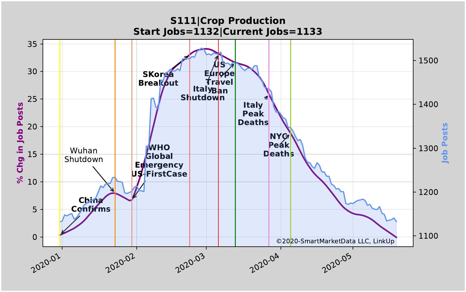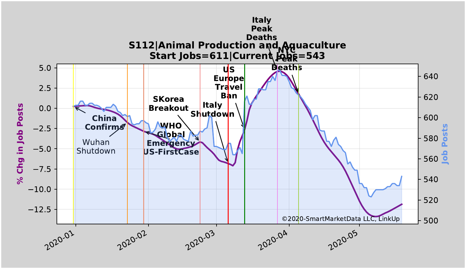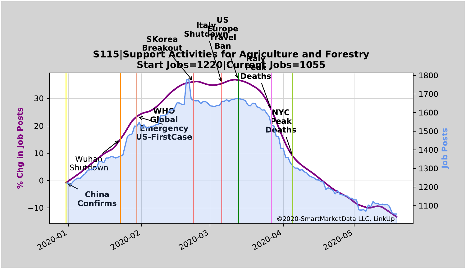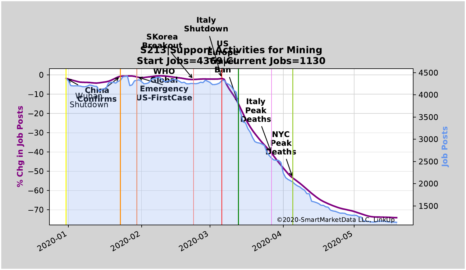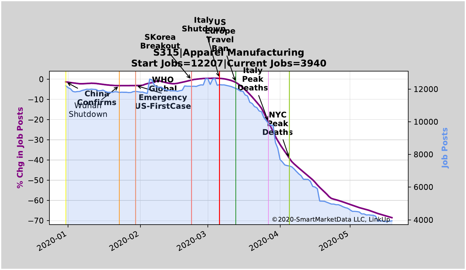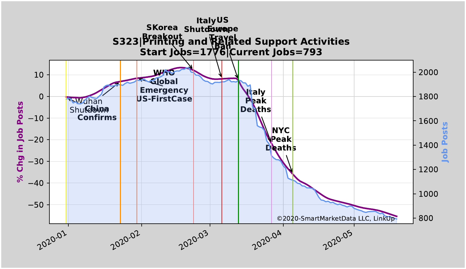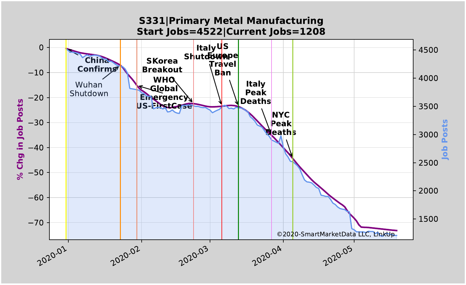## 2020-01 2020-02 2020-03 2020-04 2020-05  $-70$  $-60$ 50 40 30 20  $-10$ 0 **% Chg in Job Posts China Confirms** Wuhan Shutdown **WHO Global Emergency US-FirstCase SKorea Breakout Italy US Shutdow<mark>e</mark>pe Travel Ban Italy Peak Deaths NYC Peak Deaths** 1500 2000 2500 3000 3500 4000 4500 **Job Posts** ©2020-SmartMarketData LLC, LinkUp **S331|Primary Metal Manufacturing Start Jobs=4522|Current Jobs=1208**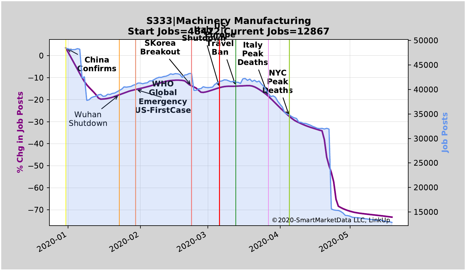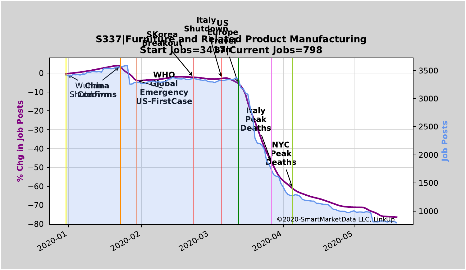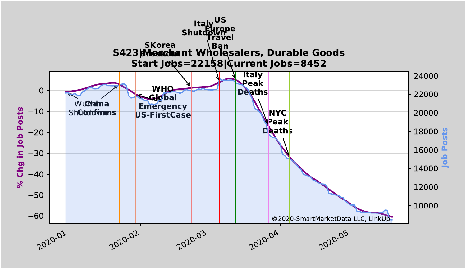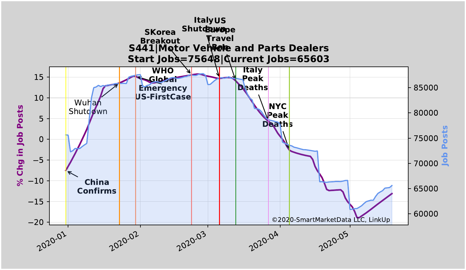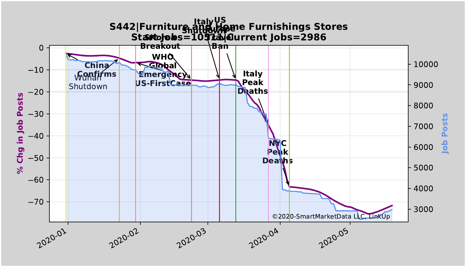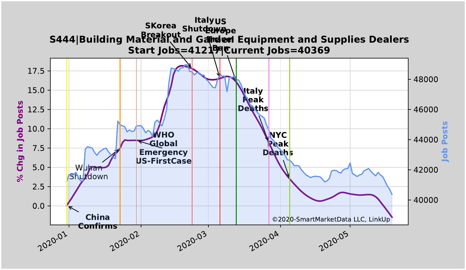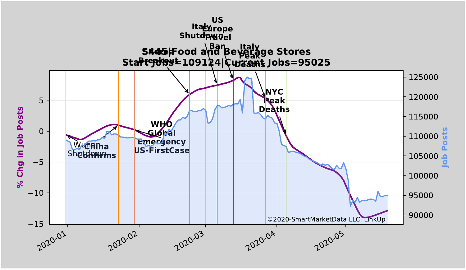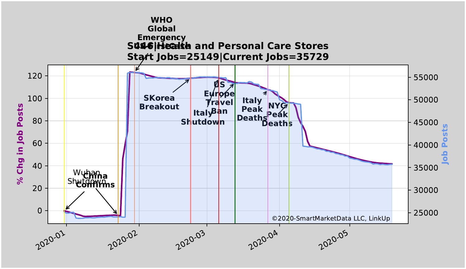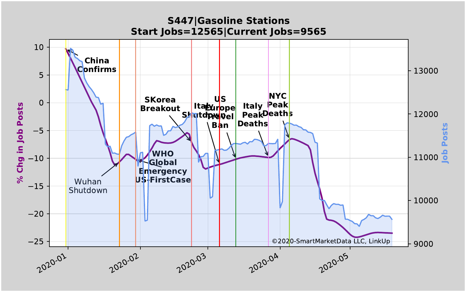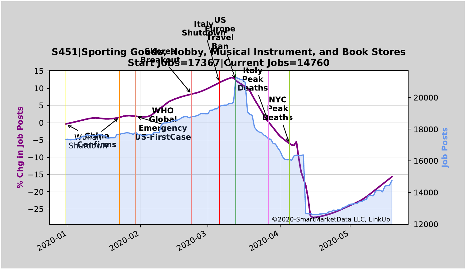![](_page_16_Figure_0.jpeg)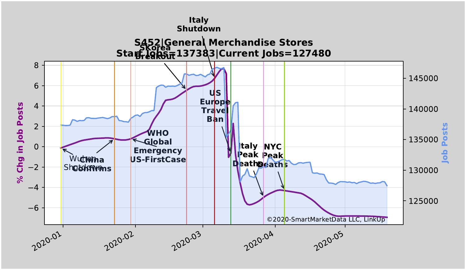![](_page_17_Figure_0.jpeg)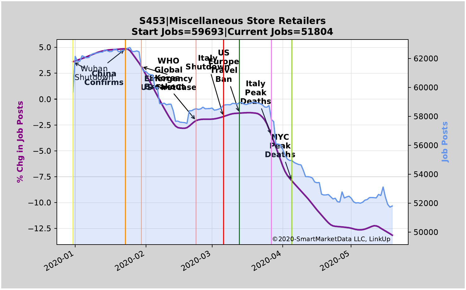![](_page_18_Figure_0.jpeg)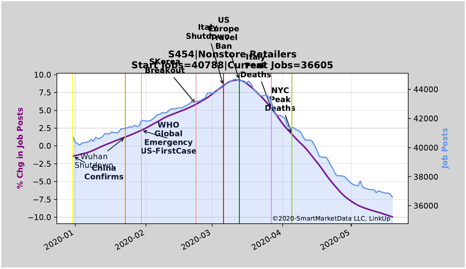![](_page_19_Figure_0.jpeg)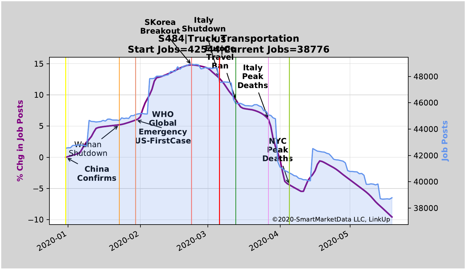![](_page_20_Figure_0.jpeg)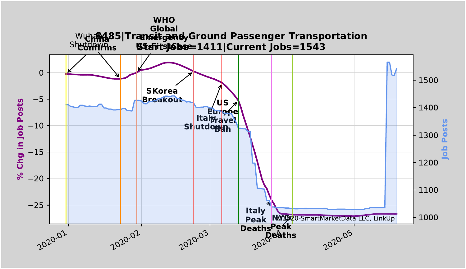![](_page_21_Figure_0.jpeg)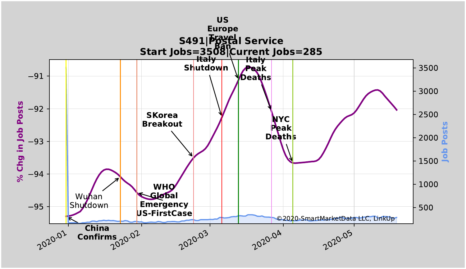![](_page_22_Figure_0.jpeg)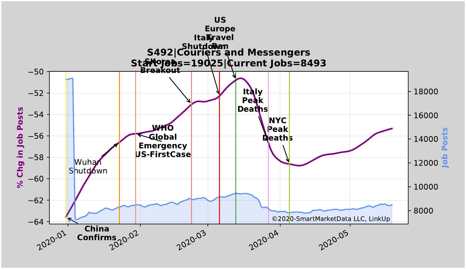![](_page_23_Figure_0.jpeg)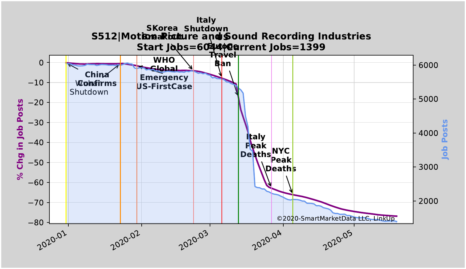![](_page_24_Figure_0.jpeg)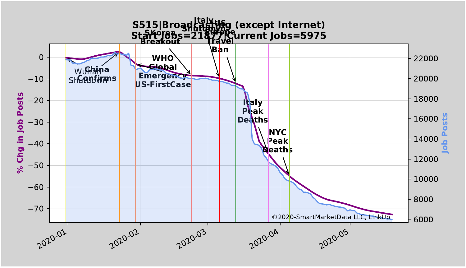![](_page_25_Figure_0.jpeg)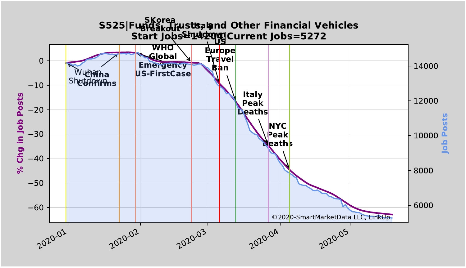![](_page_26_Figure_0.jpeg)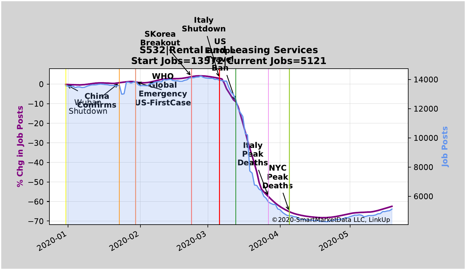![](_page_27_Figure_0.jpeg)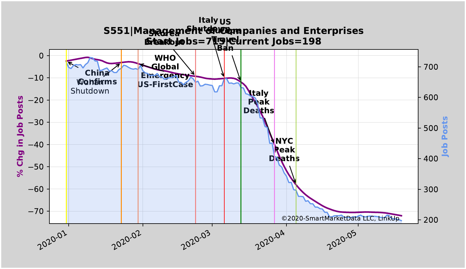![](_page_28_Figure_0.jpeg)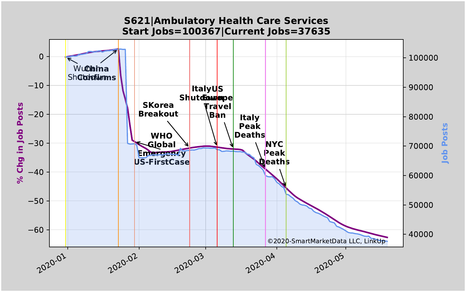![](_page_29_Figure_0.jpeg)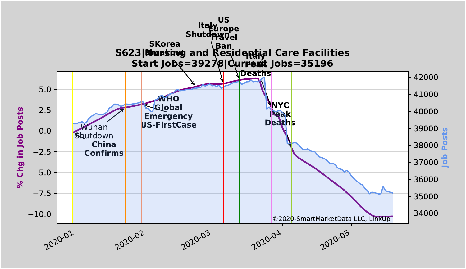![](_page_30_Figure_0.jpeg)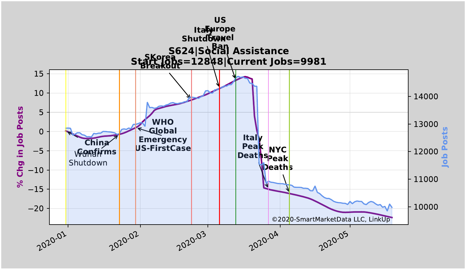![](_page_31_Figure_0.jpeg)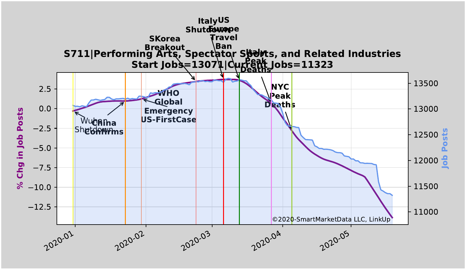![](_page_32_Figure_0.jpeg)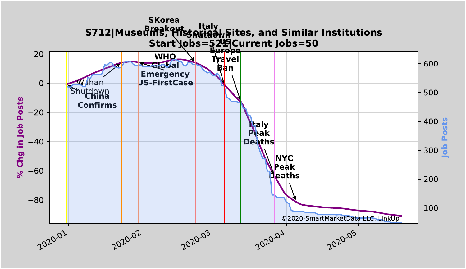![](_page_33_Figure_0.jpeg)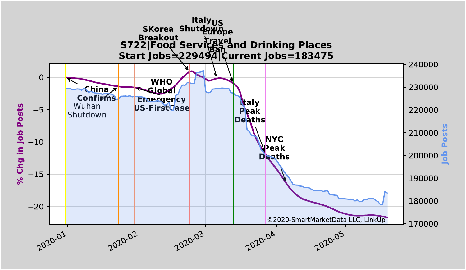![](_page_34_Figure_0.jpeg)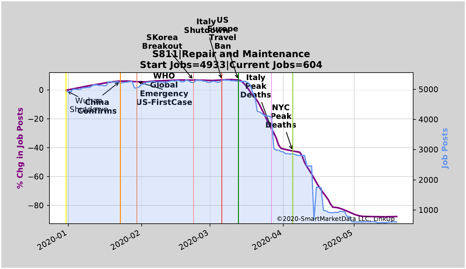![](_page_35_Figure_0.jpeg)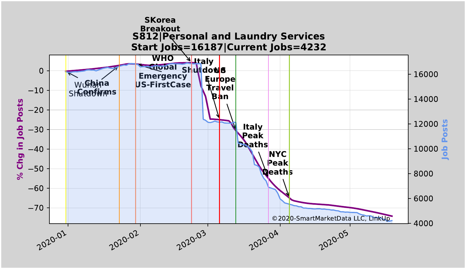![](_page_36_Figure_0.jpeg)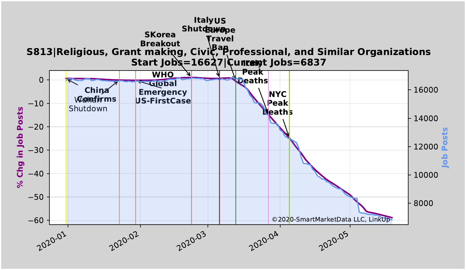![](_page_37_Figure_0.jpeg)